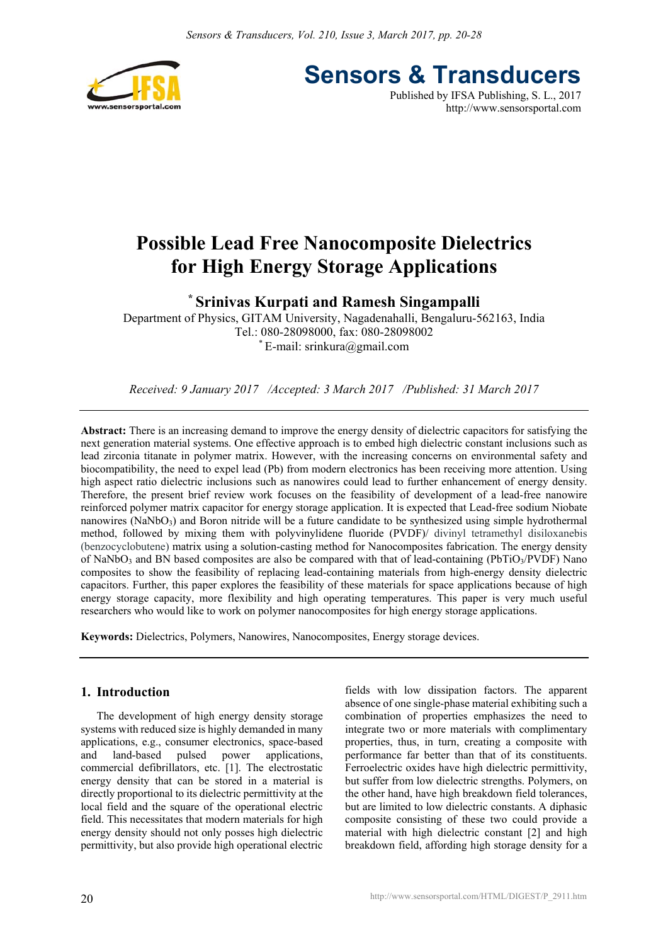

**Sensors & Transducers** Published by IFSA Publishing, S. L., 2017

http://www.sensorsportal.com

# **Possible Lead Free Nanocomposite Dielectrics for High Energy Storage Applications**

**\* Srinivas Kurpati and Ramesh Singampalli** 

Department of Physics, GITAM University, Nagadenahalli, Bengaluru-562163, India Tel.: 080-28098000, fax: 080-28098002  $E$ -mail: srinkura $@g$ mail.com

*Received: 9 January 2017 /Accepted: 3 March 2017 /Published: 31 March 2017* 

**Abstract:** There is an increasing demand to improve the energy density of dielectric capacitors for satisfying the next generation material systems. One effective approach is to embed high dielectric constant inclusions such as lead zirconia titanate in polymer matrix. However, with the increasing concerns on environmental safety and biocompatibility, the need to expel lead (Pb) from modern electronics has been receiving more attention. Using high aspect ratio dielectric inclusions such as nanowires could lead to further enhancement of energy density. Therefore, the present brief review work focuses on the feasibility of development of a lead-free nanowire reinforced polymer matrix capacitor for energy storage application. It is expected that Lead-free sodium Niobate nanowires (NaNbO<sub>3</sub>) and Boron nitride will be a future candidate to be synthesized using simple hydrothermal method, followed by mixing them with polyvinylidene fluoride (PVDF)/ divinyl tetramethyl disiloxanebis (benzocyclobutene) matrix using a solution-casting method for Nanocomposites fabrication. The energy density of NaNbO<sub>3</sub> and BN based composites are also be compared with that of lead-containing (PbTiO<sub>3</sub>/PVDF) Nano composites to show the feasibility of replacing lead-containing materials from high-energy density dielectric capacitors. Further, this paper explores the feasibility of these materials for space applications because of high energy storage capacity, more flexibility and high operating temperatures. This paper is very much useful researchers who would like to work on polymer nanocomposites for high energy storage applications.

**Keywords:** Dielectrics, Polymers, Nanowires, Nanocomposites, Energy storage devices.

# **1. Introduction**

The development of high energy density storage systems with reduced size is highly demanded in many applications, e.g., consumer electronics, space-based and land-based pulsed power applications, commercial defibrillators, etc. [1]. The electrostatic energy density that can be stored in a material is directly proportional to its dielectric permittivity at the local field and the square of the operational electric field. This necessitates that modern materials for high energy density should not only posses high dielectric permittivity, but also provide high operational electric

fields with low dissipation factors. The apparent absence of one single-phase material exhibiting such a combination of properties emphasizes the need to integrate two or more materials with complimentary properties, thus, in turn, creating a composite with performance far better than that of its constituents. Ferroelectric oxides have high dielectric permittivity, but suffer from low dielectric strengths. Polymers, on the other hand, have high breakdown field tolerances, but are limited to low dielectric constants. A diphasic composite consisting of these two could provide a material with high dielectric constant [2] and high breakdown field, affording high storage density for a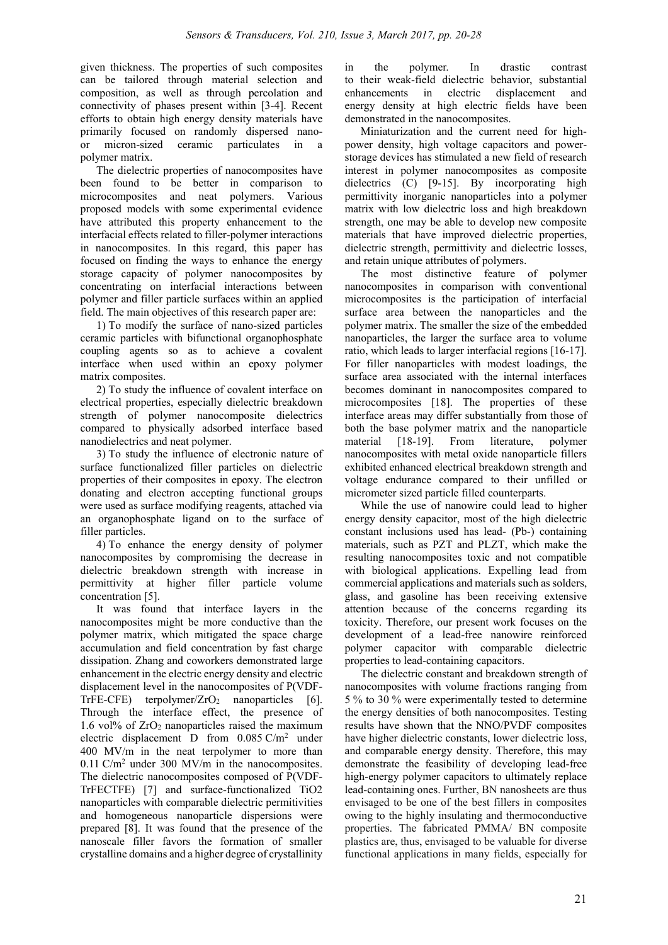given thickness. The properties of such composites can be tailored through material selection and composition, as well as through percolation and connectivity of phases present within [3-4]. Recent efforts to obtain high energy density materials have primarily focused on randomly dispersed nanoor micron-sized ceramic particulates in a polymer matrix.

The dielectric properties of nanocomposites have been found to be better in comparison to microcomposites and neat polymers. Various proposed models with some experimental evidence have attributed this property enhancement to the interfacial effects related to filler-polymer interactions in nanocomposites. In this regard, this paper has focused on finding the ways to enhance the energy storage capacity of polymer nanocomposites by concentrating on interfacial interactions between polymer and filler particle surfaces within an applied field. The main objectives of this research paper are:

1) To modify the surface of nano-sized particles ceramic particles with bifunctional organophosphate coupling agents so as to achieve a covalent interface when used within an epoxy polymer matrix composites.

2) To study the influence of covalent interface on electrical properties, especially dielectric breakdown strength of polymer nanocomposite dielectrics compared to physically adsorbed interface based nanodielectrics and neat polymer.

3) To study the influence of electronic nature of surface functionalized filler particles on dielectric properties of their composites in epoxy. The electron donating and electron accepting functional groups were used as surface modifying reagents, attached via an organophosphate ligand on to the surface of filler particles.

4) To enhance the energy density of polymer nanocomposites by compromising the decrease in dielectric breakdown strength with increase in permittivity at higher filler particle volume concentration [5].

It was found that interface layers in the nanocomposites might be more conductive than the polymer matrix, which mitigated the space charge accumulation and field concentration by fast charge dissipation. Zhang and coworkers demonstrated large enhancement in the electric energy density and electric displacement level in the nanocomposites of P(VDF-TrFE-CFE) terpolymer/ $ZrO<sub>2</sub>$  nanoparticles [6]. Through the interface effect, the presence of 1.6 vol% of  $ZrO<sub>2</sub>$  nanoparticles raised the maximum electric displacement D from  $0.085 \text{ C/m}^2$  under 400 MV/m in the neat terpolymer to more than  $0.11$  C/m<sup>2</sup> under 300 MV/m in the nanocomposites. The dielectric nanocomposites composed of P(VDF-TrFECTFE) [7] and surface-functionalized TiO2 nanoparticles with comparable dielectric permitivities and homogeneous nanoparticle dispersions were prepared [8]. It was found that the presence of the nanoscale filler favors the formation of smaller crystalline domains and a higher degree of crystallinity

in the polymer. In drastic contrast to their weak-field dielectric behavior, substantial enhancements in electric displacement and energy density at high electric fields have been demonstrated in the nanocomposites.

Miniaturization and the current need for highpower density, high voltage capacitors and powerstorage devices has stimulated a new field of research interest in polymer nanocomposites as composite dielectrics (C) [9-15]. By incorporating high permittivity inorganic nanoparticles into a polymer matrix with low dielectric loss and high breakdown strength, one may be able to develop new composite materials that have improved dielectric properties, dielectric strength, permittivity and dielectric losses, and retain unique attributes of polymers.

The most distinctive feature of polymer nanocomposites in comparison with conventional microcomposites is the participation of interfacial surface area between the nanoparticles and the polymer matrix. The smaller the size of the embedded nanoparticles, the larger the surface area to volume ratio, which leads to larger interfacial regions [16-17]. For filler nanoparticles with modest loadings, the surface area associated with the internal interfaces becomes dominant in nanocomposites compared to microcomposites [18]. The properties of these interface areas may differ substantially from those of both the base polymer matrix and the nanoparticle material [18-19]. From literature, polymer nanocomposites with metal oxide nanoparticle fillers exhibited enhanced electrical breakdown strength and voltage endurance compared to their unfilled or micrometer sized particle filled counterparts.

While the use of nanowire could lead to higher energy density capacitor, most of the high dielectric constant inclusions used has lead- (Pb-) containing materials, such as PZT and PLZT, which make the resulting nanocomposites toxic and not compatible with biological applications. Expelling lead from commercial applications and materials such as solders, glass, and gasoline has been receiving extensive attention because of the concerns regarding its toxicity. Therefore, our present work focuses on the development of a lead-free nanowire reinforced polymer capacitor with comparable dielectric properties to lead-containing capacitors.

The dielectric constant and breakdown strength of nanocomposites with volume fractions ranging from 5 % to 30 % were experimentally tested to determine the energy densities of both nanocomposites. Testing results have shown that the NNO/PVDF composites have higher dielectric constants, lower dielectric loss, and comparable energy density. Therefore, this may demonstrate the feasibility of developing lead-free high-energy polymer capacitors to ultimately replace lead-containing ones. Further, BN nanosheets are thus envisaged to be one of the best fillers in composites owing to the highly insulating and thermoconductive properties. The fabricated PMMA/ BN composite plastics are, thus, envisaged to be valuable for diverse functional applications in many fields, especially for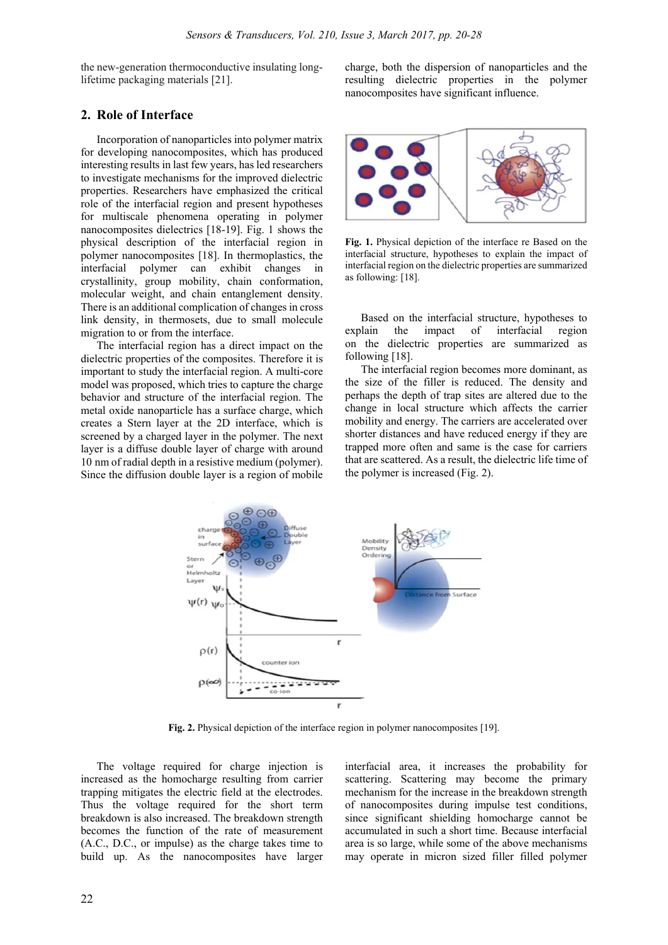the new-generation thermoconductive insulating longlifetime packaging materials [21].

# **2. Role of Interface**

Incorporation of nanoparticles into polymer matrix for developing nanocomposites, which has produced interesting results in last few years, has led researchers to investigate mechanisms for the improved dielectric properties. Researchers have emphasized the critical role of the interfacial region and present hypotheses for multiscale phenomena operating in polymer nanocomposites dielectrics [18-19]. Fig. 1 shows the physical description of the interfacial region in polymer nanocomposites [18]. In thermoplastics, the interfacial polymer can exhibit changes in crystallinity, group mobility, chain conformation, molecular weight, and chain entanglement density. There is an additional complication of changes in cross link density, in thermosets, due to small molecule migration to or from the interface.

The interfacial region has a direct impact on the dielectric properties of the composites. Therefore it is important to study the interfacial region. A multi-core model was proposed, which tries to capture the charge behavior and structure of the interfacial region. The metal oxide nanoparticle has a surface charge, which creates a Stern layer at the 2D interface, which is screened by a charged layer in the polymer. The next layer is a diffuse double layer of charge with around 10 nm of radial depth in a resistive medium (polymer). Since the diffusion double layer is a region of mobile

charge, both the dispersion of nanoparticles and the resulting dielectric properties in the polymer nanocomposites have significant influence.



**Fig. 1.** Physical depiction of the interface re Based on the interfacial structure, hypotheses to explain the impact of interfacial region on the dielectric properties are summarized as following: [18].

Based on the interfacial structure, hypotheses to explain the impact of interfacial region on the dielectric properties are summarized as following [18].

The interfacial region becomes more dominant, as the size of the filler is reduced. The density and perhaps the depth of trap sites are altered due to the change in local structure which affects the carrier mobility and energy. The carriers are accelerated over shorter distances and have reduced energy if they are trapped more often and same is the case for carriers that are scattered. As a result, the dielectric life time of the polymer is increased (Fig. 2).



**Fig. 2.** Physical depiction of the interface region in polymer nanocomposites [19].

The voltage required for charge injection is increased as the homocharge resulting from carrier trapping mitigates the electric field at the electrodes. Thus the voltage required for the short term breakdown is also increased. The breakdown strength becomes the function of the rate of measurement (A.C., D.C., or impulse) as the charge takes time to build up. As the nanocomposites have larger interfacial area, it increases the probability for scattering. Scattering may become the primary mechanism for the increase in the breakdown strength of nanocomposites during impulse test conditions, since significant shielding homocharge cannot be accumulated in such a short time. Because interfacial area is so large, while some of the above mechanisms may operate in micron sized filler filled polymer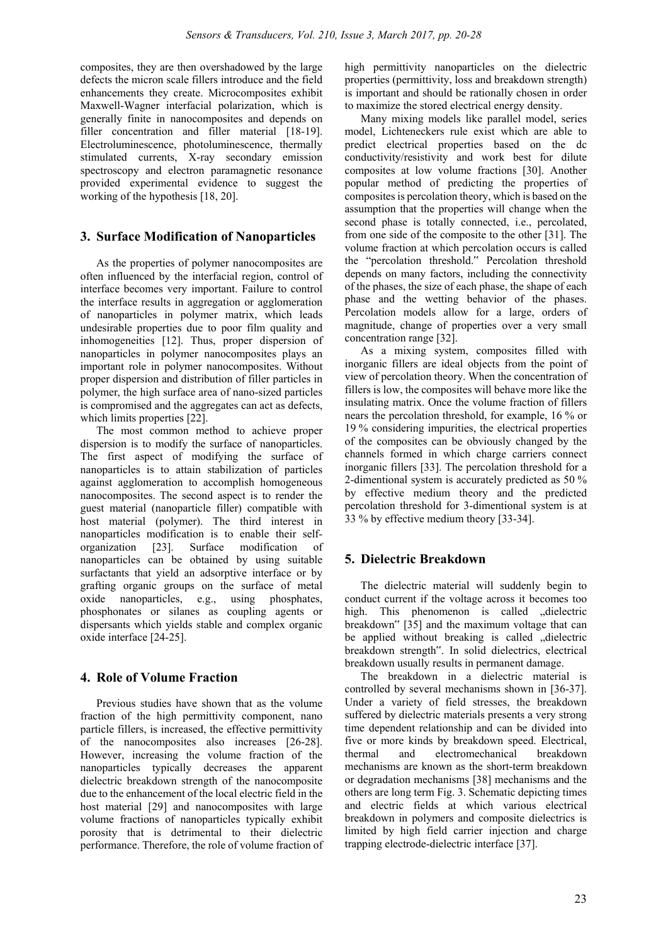composites, they are then overshadowed by the large defects the micron scale fillers introduce and the field enhancements they create. Microcomposites exhibit Maxwell-Wagner interfacial polarization, which is generally finite in nanocomposites and depends on filler concentration and filler material [18-19]. Electroluminescence, photoluminescence, thermally stimulated currents, X-ray secondary emission spectroscopy and electron paramagnetic resonance provided experimental evidence to suggest the working of the hypothesis [18, 20].

# **3. Surface Modification of Nanoparticles**

As the properties of polymer nanocomposites are often influenced by the interfacial region, control of interface becomes very important. Failure to control the interface results in aggregation or agglomeration of nanoparticles in polymer matrix, which leads undesirable properties due to poor film quality and inhomogeneities [12]. Thus, proper dispersion of nanoparticles in polymer nanocomposites plays an important role in polymer nanocomposites. Without proper dispersion and distribution of filler particles in polymer, the high surface area of nano-sized particles is compromised and the aggregates can act as defects, which limits properties [22].

The most common method to achieve proper dispersion is to modify the surface of nanoparticles. The first aspect of modifying the surface of nanoparticles is to attain stabilization of particles against agglomeration to accomplish homogeneous nanocomposites. The second aspect is to render the guest material (nanoparticle filler) compatible with host material (polymer). The third interest in nanoparticles modification is to enable their selforganization [23]. Surface modification of nanoparticles can be obtained by using suitable surfactants that yield an adsorptive interface or by grafting organic groups on the surface of metal oxide nanoparticles, e.g., using phosphates, phosphonates or silanes as coupling agents or dispersants which yields stable and complex organic oxide interface [24-25].

# **4. Role of Volume Fraction**

Previous studies have shown that as the volume fraction of the high permittivity component, nano particle fillers, is increased, the effective permittivity of the nanocomposites also increases [26-28]. However, increasing the volume fraction of the nanoparticles typically decreases the apparent dielectric breakdown strength of the nanocomposite due to the enhancement of the local electric field in the host material [29] and nanocomposites with large volume fractions of nanoparticles typically exhibit porosity that is detrimental to their dielectric performance. Therefore, the role of volume fraction of high permittivity nanoparticles on the dielectric properties (permittivity, loss and breakdown strength) is important and should be rationally chosen in order to maximize the stored electrical energy density.

Many mixing models like parallel model, series model, Lichteneckers rule exist which are able to predict electrical properties based on the dc conductivity/resistivity and work best for dilute composites at low volume fractions [30]. Another popular method of predicting the properties of composites is percolation theory, which is based on the assumption that the properties will change when the second phase is totally connected, i.e., percolated, from one side of the composite to the other [31]. The volume fraction at which percolation occurs is called the "percolation threshold." Percolation threshold depends on many factors, including the connectivity of the phases, the size of each phase, the shape of each phase and the wetting behavior of the phases. Percolation models allow for a large, orders of magnitude, change of properties over a very small concentration range [32].

As a mixing system, composites filled with inorganic fillers are ideal objects from the point of view of percolation theory. When the concentration of fillers is low, the composites will behave more like the insulating matrix. Once the volume fraction of fillers nears the percolation threshold, for example, 16 % or 19 % considering impurities, the electrical properties of the composites can be obviously changed by the channels formed in which charge carriers connect inorganic fillers [33]. The percolation threshold for a 2-dimentional system is accurately predicted as 50 % by effective medium theory and the predicted percolation threshold for 3-dimentional system is at 33 % by effective medium theory [33-34].

# **5. Dielectric Breakdown**

The dielectric material will suddenly begin to conduct current if the voltage across it becomes too high. This phenomenon is called "dielectric breakdown" [35] and the maximum voltage that can be applied without breaking is called "dielectric breakdown strength". In solid dielectrics, electrical breakdown usually results in permanent damage.

The breakdown in a dielectric material is controlled by several mechanisms shown in [36-37]. Under a variety of field stresses, the breakdown suffered by dielectric materials presents a very strong time dependent relationship and can be divided into five or more kinds by breakdown speed. Electrical, thermal and electromechanical breakdown mechanisms are known as the short-term breakdown or degradation mechanisms [38] mechanisms and the others are long term Fig. 3. Schematic depicting times and electric fields at which various electrical breakdown in polymers and composite dielectrics is limited by high field carrier injection and charge trapping electrode-dielectric interface [37].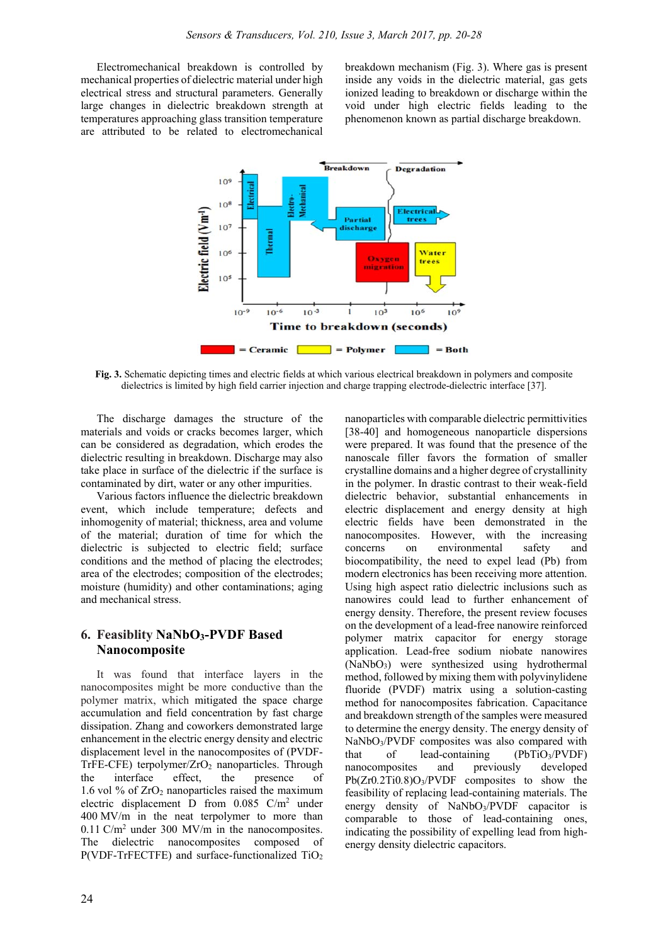Electromechanical breakdown is controlled by mechanical properties of dielectric material under high electrical stress and structural parameters. Generally large changes in dielectric breakdown strength at temperatures approaching glass transition temperature are attributed to be related to electromechanical

breakdown mechanism (Fig. 3). Where gas is present inside any voids in the dielectric material, gas gets ionized leading to breakdown or discharge within the void under high electric fields leading to the phenomenon known as partial discharge breakdown.



**Fig. 3.** Schematic depicting times and electric fields at which various electrical breakdown in polymers and composite dielectrics is limited by high field carrier injection and charge trapping electrode-dielectric interface [37].

The discharge damages the structure of the materials and voids or cracks becomes larger, which can be considered as degradation, which erodes the dielectric resulting in breakdown. Discharge may also take place in surface of the dielectric if the surface is contaminated by dirt, water or any other impurities.

Various factors influence the dielectric breakdown event, which include temperature; defects and inhomogenity of material; thickness, area and volume of the material; duration of time for which the dielectric is subjected to electric field; surface conditions and the method of placing the electrodes; area of the electrodes; composition of the electrodes; moisture (humidity) and other contaminations; aging and mechanical stress.

# **6. Feasiblity NaNbO3-PVDF Based Nanocomposite**

It was found that interface layers in the nanocomposites might be more conductive than the polymer matrix, which mitigated the space charge accumulation and field concentration by fast charge dissipation. Zhang and coworkers demonstrated large enhancement in the electric energy density and electric displacement level in the nanocomposites of (PVDF-TrFE-CFE) terpolymer/ $ZrO<sub>2</sub>$  nanoparticles. Through the interface effect, the presence of 1.6 vol  $%$  of  $ZrO<sub>2</sub>$  nanoparticles raised the maximum electric displacement D from  $0.085$  C/m<sup>2</sup> under 400 MV/m in the neat terpolymer to more than  $0.11$  C/m<sup>2</sup> under 300 MV/m in the nanocomposites. The dielectric nanocomposites composed of  $P(VDF-TrFECTFE)$  and surface-functionalized  $TiO<sub>2</sub>$ 

nanoparticles with comparable dielectric permittivities [38-40] and homogeneous nanoparticle dispersions were prepared. It was found that the presence of the nanoscale filler favors the formation of smaller crystalline domains and a higher degree of crystallinity in the polymer. In drastic contrast to their weak-field dielectric behavior, substantial enhancements in electric displacement and energy density at high electric fields have been demonstrated in the nanocomposites. However, with the increasing concerns on environmental safety and biocompatibility, the need to expel lead (Pb) from modern electronics has been receiving more attention. Using high aspect ratio dielectric inclusions such as nanowires could lead to further enhancement of energy density. Therefore, the present review focuses on the development of a lead-free nanowire reinforced polymer matrix capacitor for energy storage application. Lead-free sodium niobate nanowires (NaNbO3) were synthesized using hydrothermal method, followed by mixing them with polyvinylidene fluoride (PVDF) matrix using a solution-casting method for nanocomposites fabrication. Capacitance and breakdown strength of the samples were measured to determine the energy density. The energy density of NaNbO3/PVDF composites was also compared with that of lead-containing  $(PbTiO<sub>3</sub>/PVDF)$ nanocomposites and previously developed Pb(Zr0*.*2Ti0*.*8)O3/PVDF composites to show the feasibility of replacing lead-containing materials. The energy density of NaNbO3/PVDF capacitor is comparable to those of lead-containing ones, indicating the possibility of expelling lead from highenergy density dielectric capacitors.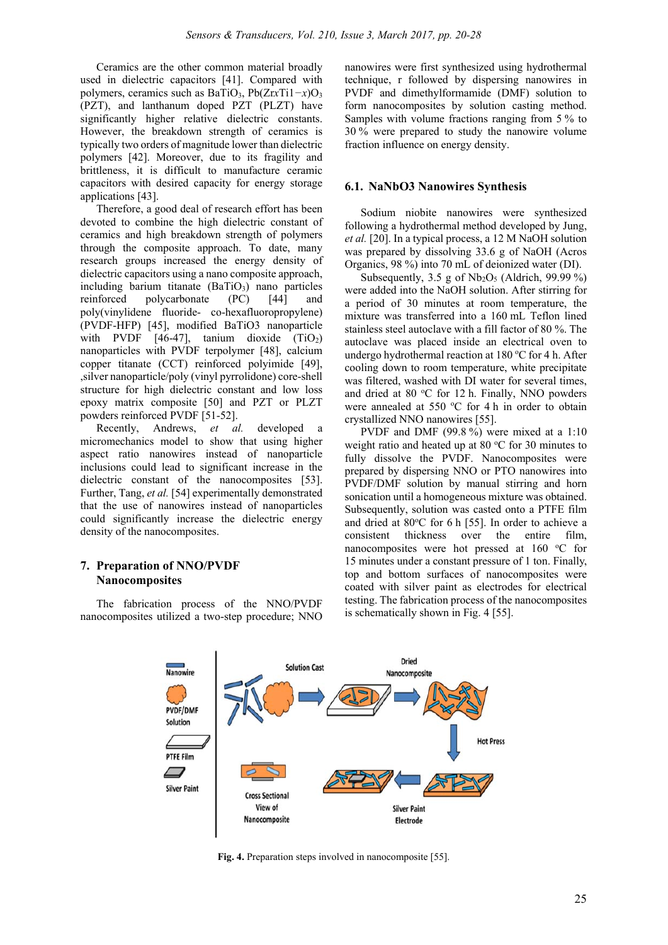Ceramics are the other common material broadly used in dielectric capacitors [41]. Compared with polymers, ceramics such as BaTiO3, Pb(Zr*x*Ti1*−x*)O3 (PZT), and lanthanum doped PZT (PLZT) have significantly higher relative dielectric constants. However, the breakdown strength of ceramics is typically two orders of magnitude lower than dielectric polymers [42]. Moreover, due to its fragility and brittleness, it is difficult to manufacture ceramic capacitors with desired capacity for energy storage applications [43].

Therefore, a good deal of research effort has been devoted to combine the high dielectric constant of ceramics and high breakdown strength of polymers through the composite approach. To date, many research groups increased the energy density of dielectric capacitors using a nano composite approach, including barium titanate  $(BaTiO<sub>3</sub>)$  nano particles reinforced polycarbonate (PC) [44] and poly(vinylidene fluoride- co-hexafluoropropylene) (PVDF-HFP) [45], modified BaTiO3 nanoparticle with PVDF  $[46-47]$ , tanium dioxide  $(TiO<sub>2</sub>)$ nanoparticles with PVDF terpolymer [48], calcium copper titanate (CCT) reinforced polyimide [49], ,silver nanoparticle/poly (vinyl pyrrolidone) core-shell structure for high dielectric constant and low loss epoxy matrix composite [50] and PZT or PLZT powders reinforced PVDF [51-52].

Recently, Andrews, *et al.* developed a micromechanics model to show that using higher aspect ratio nanowires instead of nanoparticle inclusions could lead to significant increase in the dielectric constant of the nanocomposites [53]. Further, Tang, *et al.* [54] experimentally demonstrated that the use of nanowires instead of nanoparticles could significantly increase the dielectric energy density of the nanocomposites.

# **7. Preparation of NNO/PVDF Nanocomposites**

The fabrication process of the NNO/PVDF nanocomposites utilized a two-step procedure; NNO

nanowires were first synthesized using hydrothermal technique, r followed by dispersing nanowires in PVDF and dimethylformamide (DMF) solution to form nanocomposites by solution casting method. Samples with volume fractions ranging from 5 % to 30 % were prepared to study the nanowire volume fraction influence on energy density.

#### **6.1. NaNbO3 Nanowires Synthesis**

Sodium niobite nanowires were synthesized following a hydrothermal method developed by Jung, *et al.* [20]. In a typical process, a 12 M NaOH solution was prepared by dissolving 33.6 g of NaOH (Acros Organics, 98 %) into 70 mL of deionized water (DI).

Subsequently, 3.5 g of  $Nb<sub>2</sub>O<sub>5</sub>$  (Aldrich, 99.99 %) were added into the NaOH solution. After stirring for a period of 30 minutes at room temperature, the mixture was transferred into a 160 mL Teflon lined stainless steel autoclave with a fill factor of 80 %. The autoclave was placed inside an electrical oven to undergo hydrothermal reaction at 180 °C for 4 h. After cooling down to room temperature, white precipitate was filtered, washed with DI water for several times, and dried at 80 °C for 12 h. Finally, NNO powders were annealed at 550 °C for 4 h in order to obtain crystallized NNO nanowires [55].

PVDF and DMF (99.8 %) were mixed at a 1:10 weight ratio and heated up at 80 °C for 30 minutes to fully dissolve the PVDF. Nanocomposites were prepared by dispersing NNO or PTO nanowires into PVDF/DMF solution by manual stirring and horn sonication until a homogeneous mixture was obtained. Subsequently, solution was casted onto a PTFE film and dried at 80°C for 6 h [55]. In order to achieve a consistent thickness over the entire film, nanocomposites were hot pressed at 160 °C for 15 minutes under a constant pressure of 1 ton. Finally, top and bottom surfaces of nanocomposites were coated with silver paint as electrodes for electrical testing. The fabrication process of the nanocomposites is schematically shown in Fig. 4 [55].



**Fig. 4.** Preparation steps involved in nanocomposite [55].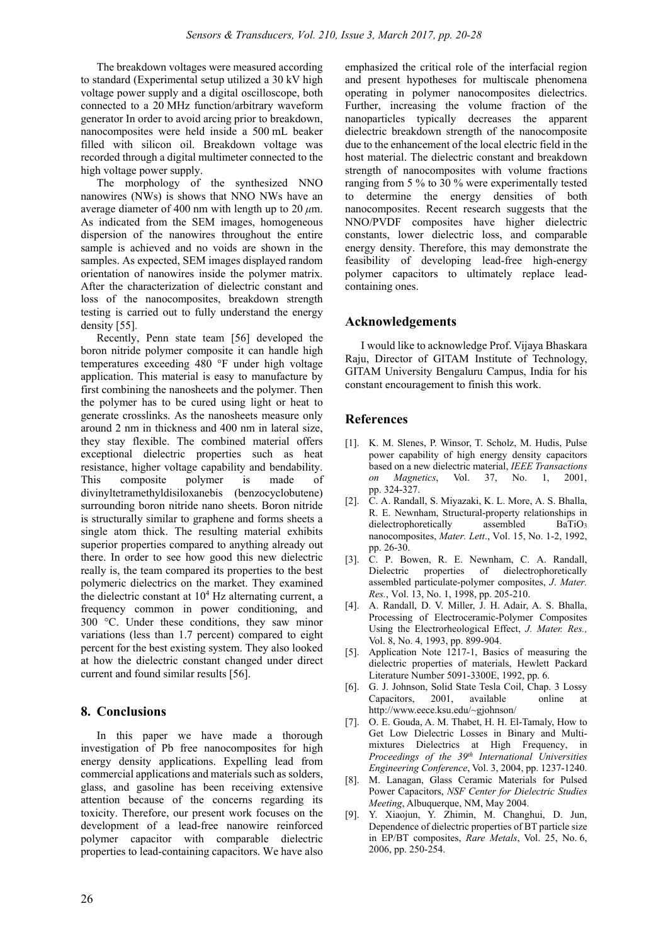The breakdown voltages were measured according to standard (Experimental setup utilized a 30 kV high voltage power supply and a digital oscilloscope, both connected to a 20 MHz function/arbitrary waveform generator In order to avoid arcing prior to breakdown, nanocomposites were held inside a 500 mL beaker filled with silicon oil. Breakdown voltage was recorded through a digital multimeter connected to the high voltage power supply.

The morphology of the synthesized NNO nanowires (NWs) is shows that NNO NWs have an average diameter of 400 nm with length up to 20 *μ*m. As indicated from the SEM images, homogeneous dispersion of the nanowires throughout the entire sample is achieved and no voids are shown in the samples. As expected, SEM images displayed random orientation of nanowires inside the polymer matrix. After the characterization of dielectric constant and loss of the nanocomposites, breakdown strength testing is carried out to fully understand the energy density [55].

Recently, Penn state team [56] developed the boron nitride polymer composite it can handle high temperatures exceeding 480 °F under high voltage application. This material is easy to manufacture by first combining the nanosheets and the polymer. Then the polymer has to be cured using light or heat to generate crosslinks. As the nanosheets measure only around 2 nm in thickness and 400 nm in lateral size, they stay flexible. The combined material offers exceptional dielectric properties such as heat resistance, higher voltage capability and bendability. This composite polymer is made of divinyltetramethyldisiloxanebis (benzocyclobutene) surrounding boron nitride nano sheets. Boron nitride is structurally similar to graphene and forms sheets a single atom thick. The resulting material exhibits superior properties compared to anything already out there. In order to see how good this new dielectric really is, the team compared its properties to the best polymeric dielectrics on the market. They examined the dielectric constant at  $10<sup>4</sup>$  Hz alternating current, a frequency common in power conditioning, and 300 °C. Under these conditions, they saw minor variations (less than 1.7 percent) compared to eight percent for the best existing system. They also looked at how the dielectric constant changed under direct current and found similar results [56].

# **8. Conclusions**

In this paper we have made a thorough investigation of Pb free nanocomposites for high energy density applications. Expelling lead from commercial applications and materials such as solders, glass, and gasoline has been receiving extensive attention because of the concerns regarding its toxicity. Therefore, our present work focuses on the development of a lead-free nanowire reinforced polymer capacitor with comparable dielectric properties to lead-containing capacitors. We have also

emphasized the critical role of the interfacial region and present hypotheses for multiscale phenomena operating in polymer nanocomposites dielectrics. Further, increasing the volume fraction of the nanoparticles typically decreases the apparent dielectric breakdown strength of the nanocomposite due to the enhancement of the local electric field in the host material. The dielectric constant and breakdown strength of nanocomposites with volume fractions ranging from 5 % to 30 % were experimentally tested to determine the energy densities of both nanocomposites. Recent research suggests that the NNO/PVDF composites have higher dielectric constants, lower dielectric loss, and comparable energy density. Therefore, this may demonstrate the feasibility of developing lead-free high-energy polymer capacitors to ultimately replace leadcontaining ones.

# **Acknowledgements**

I would like to acknowledge Prof. Vijaya Bhaskara Raju, Director of GITAM Institute of Technology, GITAM University Bengaluru Campus, India for his constant encouragement to finish this work.

# **References**

- [1]. K. M. Slenes, P. Winsor, T. Scholz, M. Hudis, Pulse power capability of high energy density capacitors based on a new dielectric material, *IEEE Transactions on Magnetics*, Vol. 37, No. 1, 2001, pp. 324-327.
- [2]. C. A. Randall, S. Miyazaki, K. L. More, A. S. Bhalla, R. E. Newnham, Structural-property relationships in dielectrophoretically assembled BaTiO<sub>3</sub> nanocomposites, *Mater. Lett*., Vol. 15, No. 1-2, 1992, pp. 26-30.
- [3]. C. P. Bowen, R. E. Newnham, C. A. Randall, Dielectric properties of dielectrophoretically assembled particulate-polymer composites, *J*. *Mater. Res.*, Vol. 13, No. 1, 1998, pp. 205-210.
- [4]. A. Randall, D. V. Miller, J. H. Adair, A. S. Bhalla, Processing of Electroceramic-Polymer Composites Using the Electrorheological Effect, *J. Mater. Res.,* Vol. 8, No. 4, 1993, pp. 899-904.
- [5]. Application Note 1217-1, Basics of measuring the dielectric properties of materials, Hewlett Packard Literature Number 5091-3300E, 1992, pp. 6.
- [6]. G. J. Johnson, Solid State Tesla Coil, Chap. 3 Lossy Capacitors, 2001, available online at http://www.eece.ksu.edu/~gjohnson/
- [7]. O. E. Gouda, A. M. Thabet, H. H. El-Tamaly, How to Get Low Dielectric Losses in Binary and Multimixtures Dielectrics at High Frequency, in *Proceedings of the 39th International Universities Engineering Conference*, Vol. 3, 2004, pp. 1237-1240.
- [8]. M. Lanagan, Glass Ceramic Materials for Pulsed Power Capacitors, *NSF Center for Dielectric Studies Meeting*, Albuquerque, NM, May 2004.
- [9]. Y. Xiaojun, Y. Zhimin, M. Changhui, D. Jun, Dependence of dielectric properties of BT particle size in EP/BT composites, *Rare Metals*, Vol. 25, No. 6, 2006, pp. 250-254.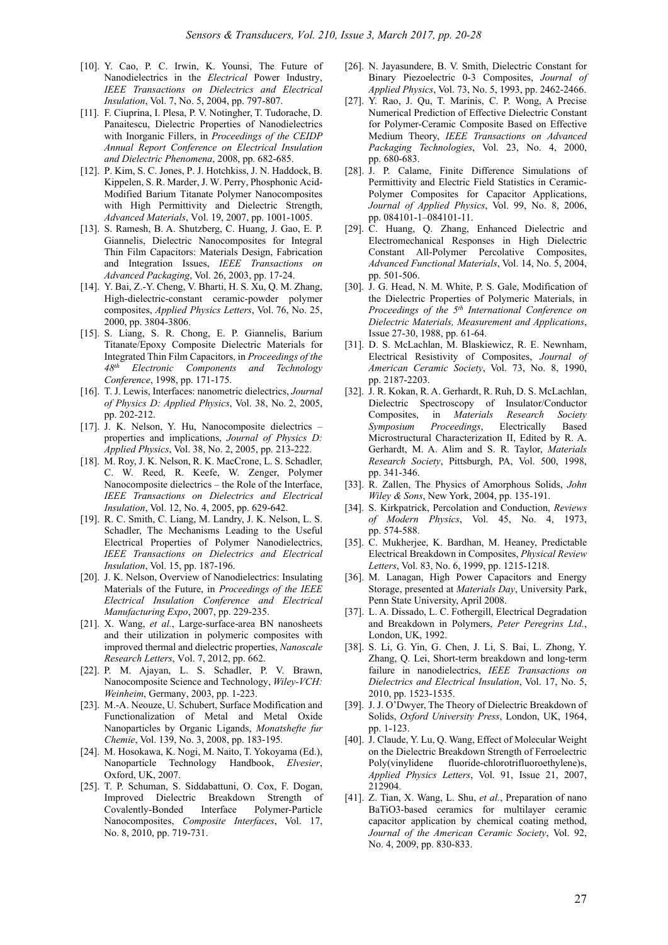- [10]. Y. Cao, P. C. Irwin, K. Younsi, The Future of Nanodielectrics in the *Electrical* Power Industry, *IEEE Transactions on Dielectrics and Electrical Insulation*, Vol. 7, No. 5, 2004, pp. 797-807.
- [11]. F. Ciuprina, I. Plesa, P. V. Notingher, T. Tudorache, D. Panaitescu, Dielectric Properties of Nanodielectrics with Inorganic Fillers, in *Proceedings of the CEIDP Annual Report Conference on Electrical Insulation and Dielectric Phenomena*, 2008, pp. 682-685.
- [12]. P. Kim, S. C. Jones, P. J. Hotchkiss, J. N. Haddock, B. Kippelen, S. R. Marder, J. W. Perry, Phosphonic Acid-Modified Barium Titanate Polymer Nanocomposites with High Permittivity and Dielectric Strength, *Advanced Materials*, Vol. 19, 2007, pp. 1001-1005.
- [13]. S. Ramesh, B. A. Shutzberg, C. Huang, J. Gao, E. P. Giannelis, Dielectric Nanocomposites for Integral Thin Film Capacitors: Materials Design, Fabrication and Integration Issues, *IEEE Transactions on Advanced Packaging*, Vol. 26, 2003, pp. 17-24.
- [14]. Y. Bai, Z.-Y. Cheng, V. Bharti, H. S. Xu, Q. M. Zhang, High-dielectric-constant ceramic-powder polymer composites, *Applied Physics Letters*, Vol. 76, No. 25, 2000, pp. 3804-3806.
- [15]. S. Liang, S. R. Chong, E. P. Giannelis, Barium Titanate/Epoxy Composite Dielectric Materials for Integrated Thin Film Capacitors, in *Proceedings of the 48th Electronic Components and Technology Conference*, 1998, pp. 171-175.
- [16]. T. J. Lewis, Interfaces: nanometric dielectrics, *Journal of Physics D: Applied Physics*, Vol. 38, No. 2, 2005, pp. 202-212.
- [17]. J. K. Nelson, Y. Hu, Nanocomposite dielectrics properties and implications, *Journal of Physics D: Applied Physics*, Vol. 38, No. 2, 2005, pp. 213-222.
- [18]. M. Roy, J. K. Nelson, R. K. MacCrone, L. S. Schadler, C. W. Reed, R. Keefe, W. Zenger, Polymer Nanocomposite dielectrics – the Role of the Interface, *IEEE Transactions on Dielectrics and Electrical Insulation*, Vol. 12, No. 4, 2005, pp. 629-642.
- [19]. R. C. Smith, C. Liang, M. Landry, J. K. Nelson, L. S. Schadler, The Mechanisms Leading to the Useful Electrical Properties of Polymer Nanodielectrics, *IEEE Transactions on Dielectrics and Electrical Insulation*, Vol. 15, pp. 187-196.
- [20]. J. K. Nelson, Overview of Nanodielectrics: Insulating Materials of the Future, in *Proceedings of the IEEE Electrical Insulation Conference and Electrical Manufacturing Expo*, 2007, pp. 229-235.
- [21]. X. Wang, *et al.*, Large-surface-area BN nanosheets and their utilization in polymeric composites with improved thermal and dielectric properties, *Nanoscale Research Letters*, Vol. 7, 2012, pp. 662.
- [22]. P. M. Ajayan, L. S. Schadler, P. V. Brawn, Nanocomposite Science and Technology, *Wiley-VCH: Weinheim*, Germany, 2003, pp. 1-223.
- [23]. M.-A. Neouze, U. Schubert, Surface Modification and Functionalization of Metal and Metal Oxide Nanoparticles by Organic Ligands, *Monatshefte fur Chemie*, Vol. 139, No. 3, 2008, pp. 183-195.
- [24]. M. Hosokawa, K. Nogi, M. Naito, T. Yokoyama (Ed.), Nanoparticle Technology Handbook, *Elvesier*, Oxford, UK, 2007.
- [25]. T. P. Schuman, S. Siddabattuni, O. Cox, F. Dogan, Improved Dielectric Breakdown Strength of Covalently-Bonded Interface Polymer-Particle Nanocomposites, *Composite Interfaces*, Vol. 17, No. 8, 2010, pp. 719-731.
- [26]. N. Jayasundere, B. V. Smith, Dielectric Constant for Binary Piezoelectric 0-3 Composites, *Journal of Applied Physics*, Vol. 73, No. 5, 1993, pp. 2462-2466.
- [27]. Y. Rao, J. Qu, T. Marinis, C. P. Wong, A Precise Numerical Prediction of Effective Dielectric Constant for Polymer-Ceramic Composite Based on Effective Medium Theory, *IEEE Transactions on Advanced Packaging Technologies*, Vol. 23, No. 4, 2000, pp. 680-683.
- [28]. J. P. Calame, Finite Difference Simulations of Permittivity and Electric Field Statistics in Ceramic-Polymer Composites for Capacitor Applications, *Journal of Applied Physics*, Vol. 99, No. 8, 2006, pp. 084101-1–084101-11.
- [29]. C. Huang, Q. Zhang, Enhanced Dielectric and Electromechanical Responses in High Dielectric Constant All-Polymer Percolative Composites, *Advanced Functional Materials*, Vol. 14, No. 5, 2004, pp. 501-506.
- [30]. J. G. Head, N. M. White, P. S. Gale, Modification of the Dielectric Properties of Polymeric Materials, in *Proceedings of the 5th International Conference on Dielectric Materials, Measurement and Applications*, Issue 27-30, 1988, pp. 61-64.
- [31]. D. S. McLachlan, M. Blaskiewicz, R. E. Newnham, Electrical Resistivity of Composites, *Journal of American Ceramic Society*, Vol. 73, No. 8, 1990, pp. 2187-2203.
- [32]. J. R. Kokan, R. A. Gerhardt, R. Ruh, D. S. McLachlan, Dielectric Spectroscopy of Insulator/Conductor Composites, in *Materials Research Society Symposium Proceedings*, Electrically Based Microstructural Characterization II, Edited by R. A. Gerhardt, M. A. Alim and S. R. Taylor, *Materials Research Society*, Pittsburgh, PA, Vol. 500, 1998, pp. 341-346.
- [33]. R. Zallen, The Physics of Amorphous Solids, *John Wiley & Sons*, New York, 2004, pp. 135-191.
- [34]. S. Kirkpatrick, Percolation and Conduction, *Reviews of Modern Physics*, Vol. 45, No. 4, 1973, pp. 574-588.
- [35]. C. Mukherjee, K. Bardhan, M. Heaney, Predictable Electrical Breakdown in Composites, *Physical Review Letters*, Vol. 83, No. 6, 1999, pp. 1215-1218.
- [36]. M. Lanagan, High Power Capacitors and Energy Storage, presented at *Materials Day*, University Park, Penn State University, April 2008.
- [37]. L. A. Dissado, L. C. Fothergill, Electrical Degradation and Breakdown in Polymers, *Peter Peregrins Ltd.*, London, UK, 1992.
- [38]. S. Li, G. Yin, G. Chen, J. Li, S. Bai, L. Zhong, Y. Zhang, Q. Lei, Short-term breakdown and long-term failure in nanodielectrics, *IEEE Transactions on Dielectrics and Electrical Insulation*, Vol. 17, No. 5, 2010, pp. 1523-1535.
- [39]. J. J. O'Dwyer, The Theory of Dielectric Breakdown of Solids, *Oxford University Press*, London, UK, 1964, pp. 1-123.
- [40]. J. Claude, Y. Lu, Q. Wang, Effect of Molecular Weight on the Dielectric Breakdown Strength of Ferroelectric Poly(vinylidene fluoride-chlorotrifluoroethylene)s, *Applied Physics Letters*, Vol. 91, Issue 21, 2007, 212904.
- [41]. Z. Tian, X. Wang, L. Shu, *et al.*, Preparation of nano BaTiO3-based ceramics for multilayer ceramic capacitor application by chemical coating method, *Journal of the American Ceramic Society*, Vol. 92, No. 4, 2009, pp. 830-833.